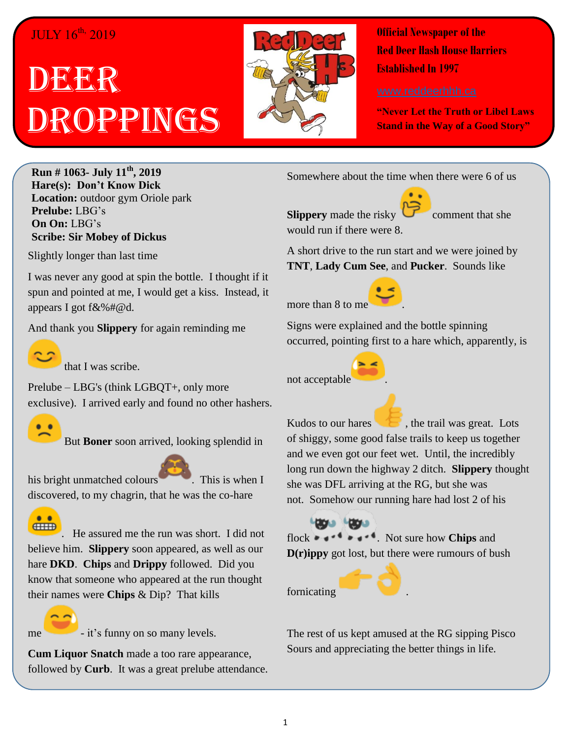## JULY 16<sup>th,</sup> 2019

## **IDERER** ROPPINGS



**Official Newspaper of the Red Deer Hash House Harriers Established In 1997** 

**"Never Let the Truth or Libel Laws Stand in the Way of a Good Story"**

**Run # 1063- July 11th, 2019 Hare(s): Don't Know Dick Location:** outdoor gym Oriole park **Prelube:** LBG's **On On:** LBG's **Scribe: Sir Mobey of Dickus**

Slightly longer than last time

I was never any good at spin the bottle. I thought if it spun and pointed at me, I would get a kiss. Instead, it appears I got f&%#@d.

And thank you **Slippery** for again reminding me



that I was scribe.

Prelube – LBG's (think LGBQT+, only more exclusive). I arrived early and found no other hashers.



But **Boner** soon arrived, looking splendid in

his bright unmatched colours . This is when I discovered, to my chagrin, that he was the co-hare



. He assured me the run was short. I did not believe him. **Slippery** soon appeared, as well as our hare **DKD**. **Chips** and **Drippy** followed. Did you know that someone who appeared at the run thought their names were **Chips** & Dip? That kills



me - it's funny on so many levels.

**Cum Liquor Snatch** made a too rare appearance, followed by **Curb**. It was a great prelube attendance. Somewhere about the time when there were 6 of us

**Slippery** made the risky  $\bullet$  comment that she

A short drive to the run start and we were joined by **TNT**, **Lady Cum See**, and **Pucker**. Sounds like

more than 8 to me.

would run if there were 8.

Signs were explained and the bottle spinning occurred, pointing first to a hare which, apparently, is

not acceptable

Kudos to our hares  $\bullet$ , the trail was great. Lots of shiggy, some good false trails to keep us together and we even got our feet wet. Until, the incredibly long run down the highway 2 ditch. **Slippery** thought she was DFL arriving at the RG, but she was not. Somehow our running hare had lost 2 of his

**Lague Lague** flock  $\bullet \bullet \bullet \bullet \bullet \bullet \bullet \bullet$  Not sure how **Chips** and **D(r)ippy** got lost, but there were rumours of bush

fornicating .



The rest of us kept amused at the RG sipping Pisco Sours and appreciating the better things in life.